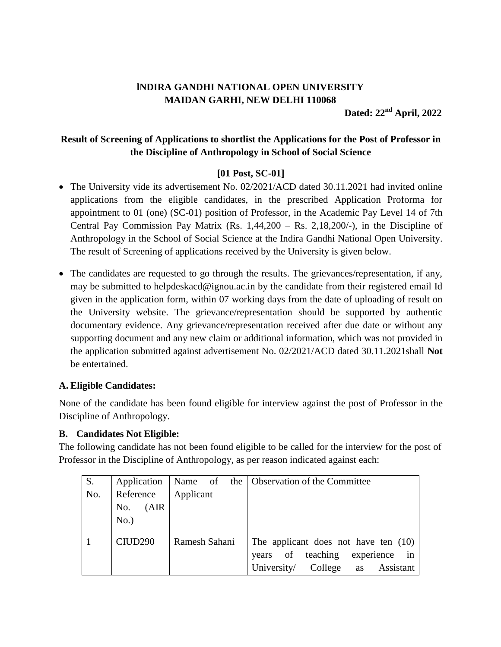# **lNDIRA GANDHI NATIONAL OPEN UNIVERSITY MAIDAN GARHI, NEW DELHI 110068**

**Dated: 22 nd April, 2022**

## **Result of Screening of Applications to shortlist the Applications for the Post of Professor in the Discipline of Anthropology in School of Social Science**

### **[01 Post, SC-01]**

- The University vide its advertisement No. 02/2021/ACD dated 30.11.2021 had invited online applications from the eligible candidates, in the prescribed Application Proforma for appointment to 01 (one) (SC-01) position of Professor, in the Academic Pay Level 14 of 7th Central Pay Commission Pay Matrix  $(Rs. 1,44,200 - Rs. 2,18,200/$ -), in the Discipline of Anthropology in the School of Social Science at the Indira Gandhi National Open University. The result of Screening of applications received by the University is given below.
- The candidates are requested to go through the results. The grievances/representation, if any, may be submitted to helpdeskacd@ignou.ac.in by the candidate from their registered email Id given in the application form, within 07 working days from the date of uploading of result on the University website. The grievance/representation should be supported by authentic documentary evidence. Any grievance/representation received after due date or without any supporting document and any new claim or additional information, which was not provided in the application submitted against advertisement No. 02/2021/ACD dated 30.11.2021shall **Not** be entertained.

### **A. Eligible Candidates:**

None of the candidate has been found eligible for interview against the post of Professor in the Discipline of Anthropology.

#### **B. Candidates Not Eligible:**

The following candidate has not been found eligible to be called for the interview for the post of Professor in the Discipline of Anthropology, as per reason indicated against each:

| S.  | Application         | Name of       | the   Observation of the Committee     |
|-----|---------------------|---------------|----------------------------------------|
| No. | Reference           | Applicant     |                                        |
|     | (AIR)<br>No.        |               |                                        |
|     | No.)                |               |                                        |
|     |                     |               |                                        |
|     | CIUD <sub>290</sub> | Ramesh Sahani | The applicant does not have ten $(10)$ |
|     |                     |               | experience<br>in<br>years of teaching  |
|     |                     |               | University/ College as Assistant       |